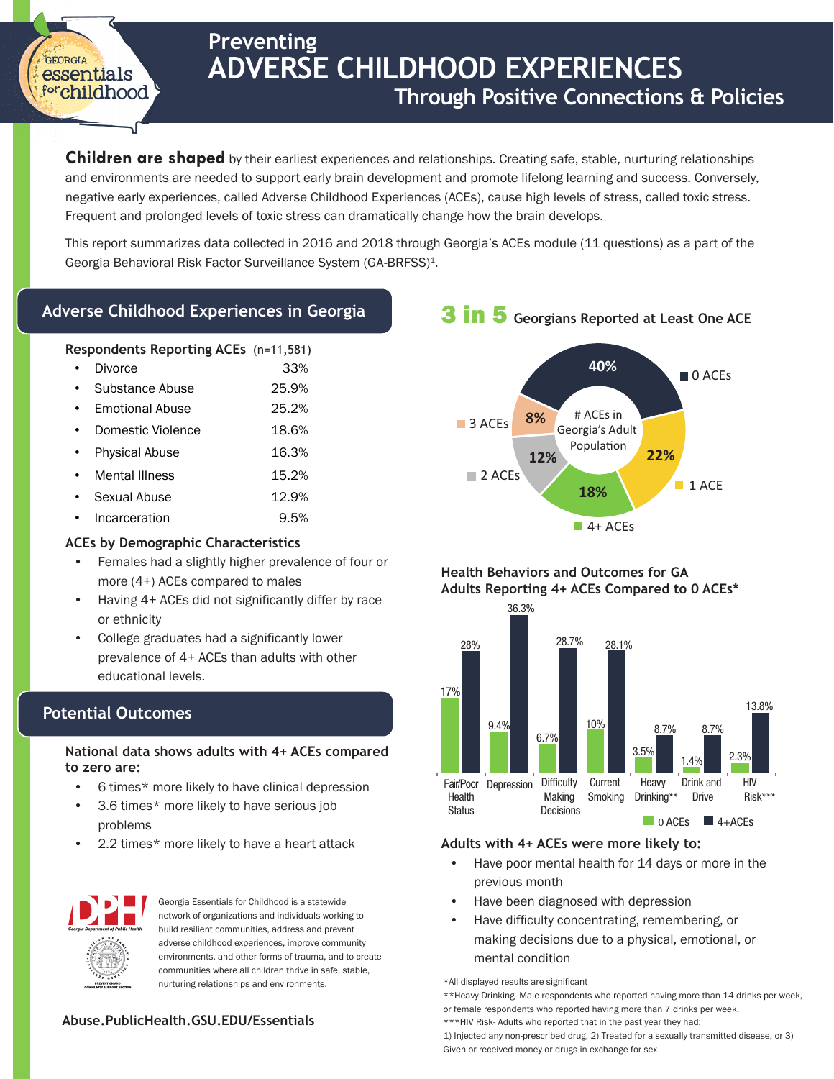# **Preventing ADVERSE CHILDHOOD EXPERIENCES Through Positive Connections & Policies**

**Children are shaped** by their earliest experiences and relationships. Creating safe, stable, nurturing relationships and environments are needed to support early brain development and promote lifelong learning and success. Conversely, negative early experiences, called Adverse Childhood Experiences (ACEs), cause high levels of stress, called toxic stress. Frequent and prolonged levels of toxic stress can dramatically change how the brain develops.

This report summarizes data collected in 2016 and 2018 through Georgia's ACEs module (11 questions) as a part of the Georgia Behavioral Risk Factor Surveillance System (GA-BRFSS)<sup>1</sup>.

### **Adverse Childhood Experiences in Georgia**

### **Respondents Reporting ACEs** (n=11,581)

- 33% **Divorce**
- 25.9% Substance Abuse
- 25.2% • Emotional Abuse
- 18.6% • Domestic Violence
- 16.3% • Physical Abuse
- 15.2% **Mental Illness**
- 12.9% Sexual Abuse
- Incarceration 9.5%

### **ACEs by Demographic Characteristics**

- Females had a slightly higher prevalence of four or more (4+) ACEs compared to males
- Having 4+ ACEs did not significantly differ by race or ethnicity
- College graduates had a significantly lower prevalence of 4+ ACEs than adults with other educational levels.

### **Potential Outcomes**

GEORGIA essentials forchildhood

### **National data shows adults with 4+ ACEs compared to zero are:**

- 6 times\* more likely to have clinical depression
- 3.6 times\* more likely to have serious job problems
- 2.2 times\* more likely to have a heart attack



Georgia Essentials for Childhood is a statewide network of organizations and individuals working to build resilient communities, address and prevent adverse childhood experiences, improve community environments, and other forms of trauma, and to create communities where all children thrive in safe, stable, nurturing relationships and environments.

### **Abuse.PublicHealth.GSU.EDU/Essentials**

## 3 in 5 **Georgians Reported at Least One ACE**



### **Health Behaviors and Outcomes for GA Adults Reporting 4+ ACEs Compared to 0 ACEs\***



### **Adults with 4+ ACEs were more likely to:**

- Have poor mental health for 14 days or more in the previous month
- Have been diagnosed with depression
- Have difficulty concentrating, remembering, or making decisions due to a physical, emotional, or mental condition

\*All displayed results are significant

\*\*Heavy Drinking- Male respondents who reported having more than 14 drinks per week, or female respondents who reported having more than 7 drinks per week.

\*\*\*HIV Risk- Adults who reported that in the past year they had:

1) Injected any non-prescribed drug, 2) Treated for a sexually transmitted disease, or 3) Given or received money or drugs in exchange for sex